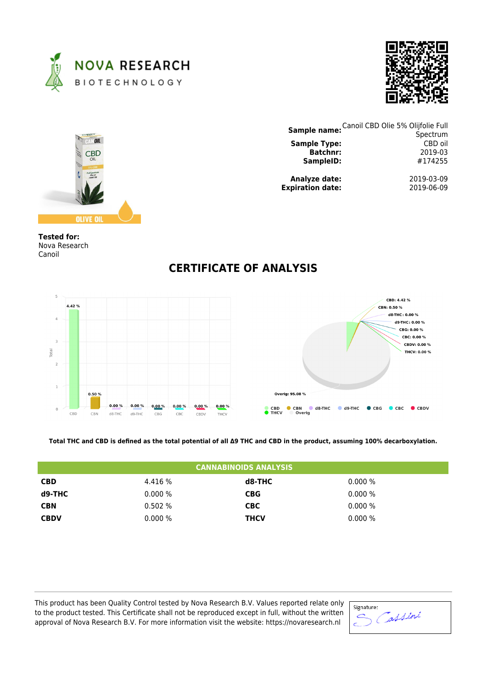





| <b>Sample name: Canoil CBD Olie 5% Olijfolie Full</b> |            |
|-------------------------------------------------------|------------|
|                                                       | Spectrum   |
| <b>Sample Type:</b>                                   | CBD oil    |
| <b>Batchnr:</b>                                       | 2019-03    |
| SampleID:                                             | #174255    |
| Analyze date:                                         | 2019-03-09 |
| <b>Expiration date:</b>                               | 2019-06-09 |

**Tested for:** Nova Research Canoil



## **CERTIFICATE OF ANALYSIS**

**Total THC and CBD is defined as the total potential of all Δ9 THC and CBD in the product, assuming 100% decarboxylation.**

| <b>CANNABINOIDS ANALYSIS</b> |           |             |           |  |  |
|------------------------------|-----------|-------------|-----------|--|--|
| <b>CBD</b>                   | 4.416 %   | d8-THC      | $0.000\%$ |  |  |
| d9-THC                       | $0.000\%$ | <b>CBG</b>  | $0.000\%$ |  |  |
| <b>CBN</b>                   | 0.502%    | <b>CBC</b>  | $0.000\%$ |  |  |
| <b>CBDV</b>                  | $0.000\%$ | <b>THCV</b> | $0.000\%$ |  |  |

This product has been Quality Control tested by Nova Research B.V. Values reported relate only to the product tested. This Certificate shall not be reproduced except in full, without the written approval of Nova Research B.V. For more information visit the website: https://novaresearch.nl

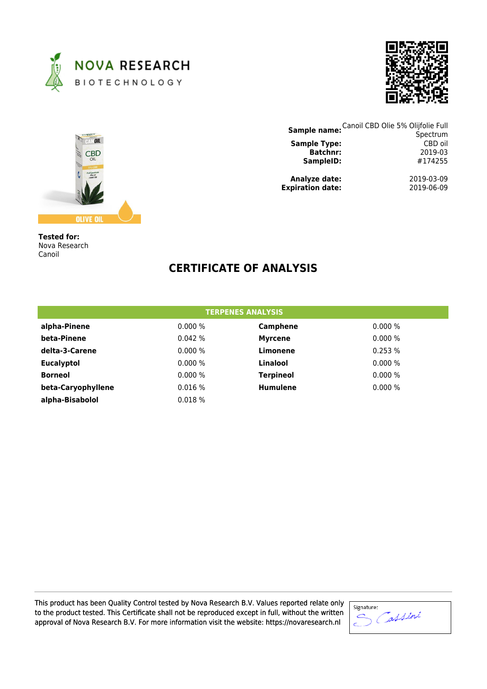





| Sample name: Canoil CBD Olie 5% Olijfolie Full |                     |
|------------------------------------------------|---------------------|
| <b>Sample Type:</b>                            | Spectrum<br>CBD oil |
| <b>Batchnr:</b>                                | 2019-03             |
| SampleID:                                      | #174255             |
| Analyze date:                                  | 2019-03-09          |
| <b>Expiration date:</b>                        | 2019-06-09          |

**Tested for:** Nova Research Canoil

## **CERTIFICATE OF ANALYSIS**

| <b>TERPENES ANALYSIS</b> |           |                  |           |  |
|--------------------------|-----------|------------------|-----------|--|
| alpha-Pinene             | $0.000\%$ | Camphene         | $0.000\%$ |  |
| beta-Pinene              | 0.042%    | <b>Myrcene</b>   | 0.000%    |  |
| delta-3-Carene           | 0.000%    | Limonene         | 0.253%    |  |
| <b>Eucalyptol</b>        | 0.000%    | Linalool         | $0.000\%$ |  |
| <b>Borneol</b>           | 0.000%    | <b>Terpineol</b> | $0.000\%$ |  |
| beta-Caryophyllene       | 0.016%    | <b>Humulene</b>  | 0.000%    |  |
| alpha-Bisabolol          | 0.018%    |                  |           |  |

This product has been Quality Control tested by Nova Research B.V. Values reported relate only to the product tested. This Certificate shall not be reproduced except in full, without the written approval of Nova Research B.V. For more information visit the website: https://novaresearch.nl

| Signature: |
|------------|
|            |
|            |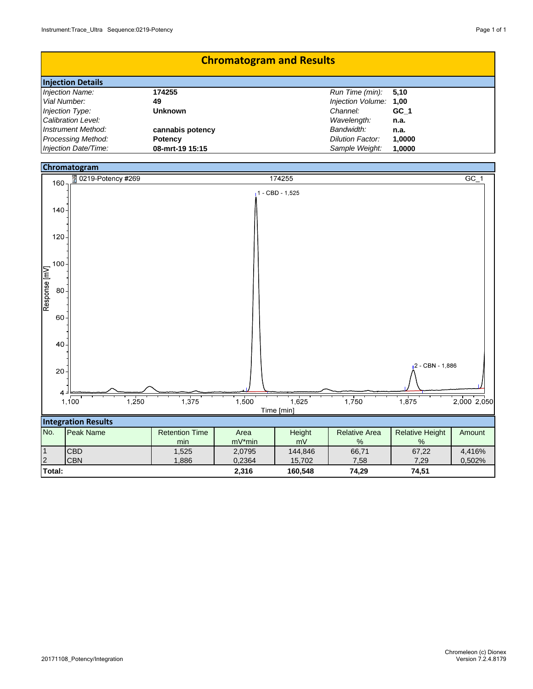| <b>Chromatogram and Results</b> |                  |                         |        |
|---------------------------------|------------------|-------------------------|--------|
| <b>Injection Details</b>        |                  |                         |        |
| Injection Name:                 | 174255           | Run Time (min):         | 5.10   |
| Vial Number:                    | 49               | Injection Volume: 1,00  |        |
| Injection Type:                 | <b>Unknown</b>   | Channel:                | GC 1   |
| Calibration Level:              |                  | Wavelength:             | n.a.   |
| Instrument Method:              | cannabis potency | Bandwidth:              | n.a.   |
| <b>Processing Method:</b>       | <b>Potency</b>   | <b>Dilution Factor:</b> | 1,0000 |
| Injection Date/Time:            | 08-mrt-19 15:15  | Sample Weight:          | 1,0000 |